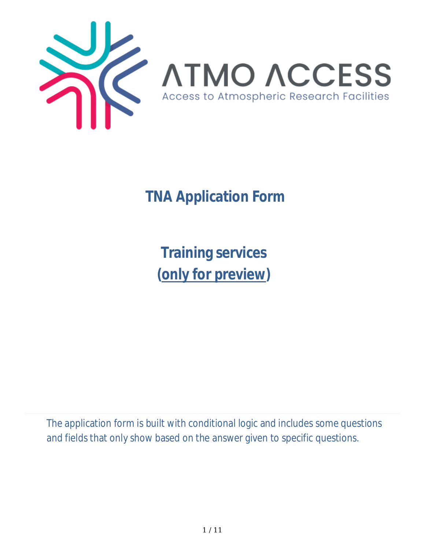

 **TNA Application Form**

**Training services (only for preview)**

The application form is built with conditional logic and includes some questions and fields that only show based on the answer given to specific questions.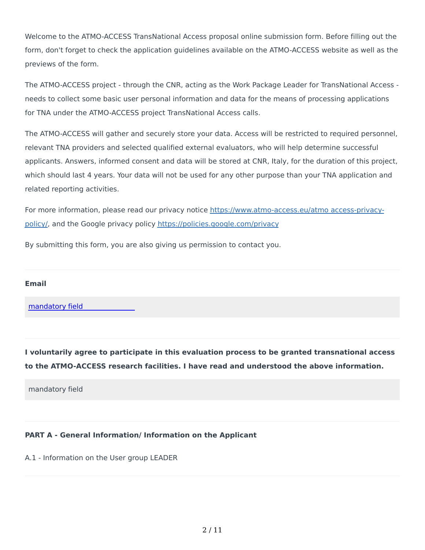Welcome to the ATMO-ACCESS TransNational Access proposal online submission form. Before filling out the form, don't forget to check the application guidelines available on the ATMO-ACCESS website as well as the previews of the form.

The ATMO-ACCESS project - through the CNR, acting as the Work Package Leader for TransNational Access needs to collect some basic user personal information and data for the means of processing applications for TNA under the ATMO-ACCESS project TransNational Access calls.

The ATMO-ACCESS will gather and securely store your data. Access will be restricted to required personnel, relevant TNA providers and selected qualified external evaluators, who will help determine successful applicants. Answers, informed consent and data will be stored at CNR, Italy, for the duration of this project, which should last 4 years. Your data will not be used for any other purpose than your TNA application and related reporting activities.

For more information, please read our privacy notice https://www.atmo-access.eu/atmo access-privacypolicy/, and the Google privacy policy https://policies.google.com/privacy

By submitting this form, you are also giving us permission to contact you.

#### **Email**

[mandatory](mailto:francesca.ricciardi@imaa.cnr.it) field

**I voluntarily agree to participate in this evaluation process to be granted transnational access to the ATMO-ACCESS research facilities. I have read and understood the above information.**

mandatory field

#### **PART A - General Information/ Information on the Applicant**

A.1 - Information on the User group LEADER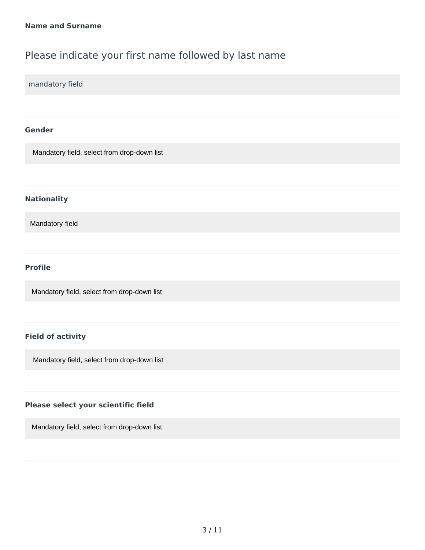## Please indicate your first name followed by last name

mandatory field

#### **Gender**

Mandatory field, select from drop-down list

#### **Nationality**

Mandatory field

#### **Profile**

Mandatory field, select from drop-down list

#### **Field of activity**

Mandatory field, select from drop-down list

#### **Please select your scientific field**

Mandatory field, select from drop-down list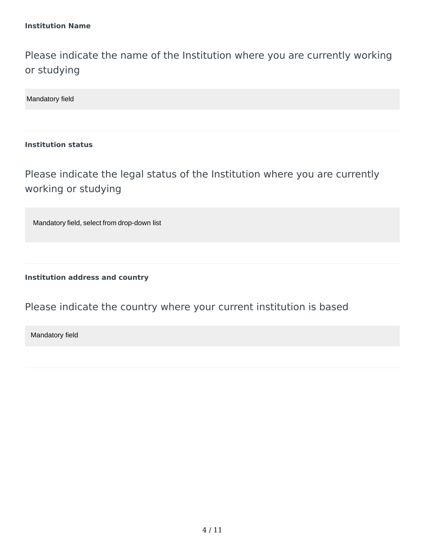Please indicate the name of the Institution where you are currently working or studying

Mandatory field

#### **Institution status**

Please indicate the legal status of the Institution where you are currently working or studying

Mandatory field, select from drop-down list

**Institution address and country**

### Please indicate the country where your current institution is based

Mandatory field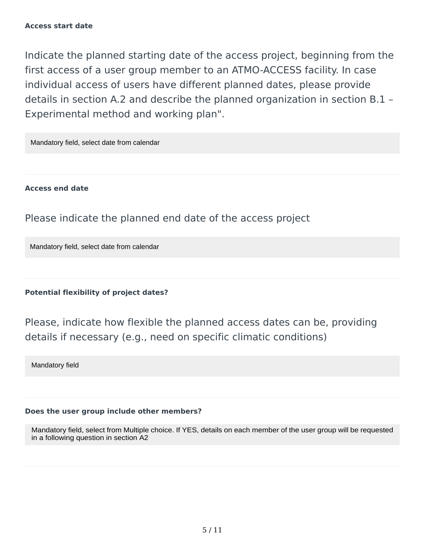Indicate the planned starting date of the access project, beginning from the first access of a user group member to an ATMO-ACCESS facility. In case individual access of users have different planned dates, please provide details in section A.2 and describe the planned organization in section B.1 – Experimental method and working plan".

Mandatory field, select date from calendar

**Access end date**

Please indicate the planned end date of the access project

Mandatory field, select date from calendar

**Potential flexibility of project dates?**

Please, indicate how flexible the planned access dates can be, providing details if necessary (e.g., need on specific climatic conditions)

Mandatory field

### **Does the user group include other members?**

Mandatory field, select from Multiple choice. If YES, details on each member of the user group will be requested in a following question in section A2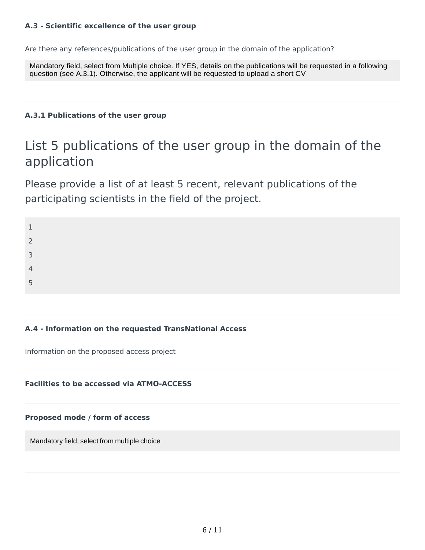#### **A.3 - Scientific excellence of the user group**

Are there any references/publications of the user group in the domain of the application?

Mandatory field, select from Multiple choice. If YES, details on the publications will be requested in a following question (see A.3.1). Otherwise, the applicant will be requested to upload a short CV

#### **A.3.1 Publications of the user group**

# List 5 publications of the user group in the domain of the application

Please provide a list of at least 5 recent, relevant publications of the participating scientists in the field of the project.

1 2

3

4

5

#### **A.4 - Information on the requested TransNational Access**

Information on the proposed access project

#### **Facilities to be accessed via ATMO-ACCESS**

**Proposed mode / form of access**

Mandatory field, select from multiple choice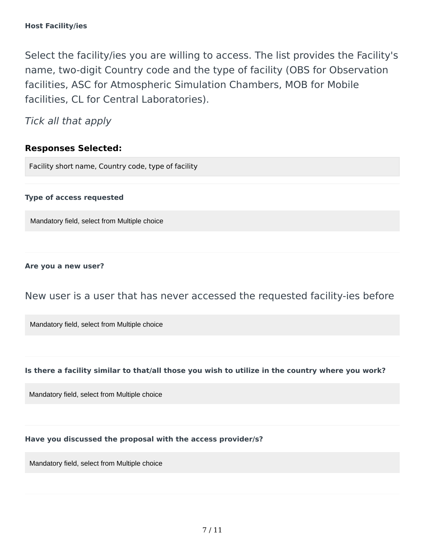Select the facility/ies you are willing to access. The list provides the Facility's name, two-digit Country code and the type of facility (OBS for Observation facilities, ASC for Atmospheric Simulation Chambers, MOB for Mobile facilities, CL for Central Laboratories).

Tick all that apply

### **Responses Selected:**

Facility short name, Country code, type of facility

#### **Type of access requested**

Mandatory field, select from Multiple choice

#### **Are you a new user?**

### New user is a user that has never accessed the requested facility-ies before

Mandatory field, select from Multiple choice

#### **Is there a facility similar to that/all those you wish to utilize in the country where you work?**

Mandatory field, select from Multiple choice

### **Have you discussed the proposal with the access provider/s?**

Mandatory field, select from Multiple choice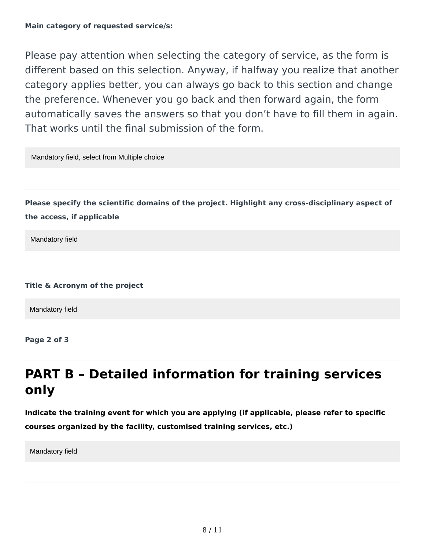Please pay attention when selecting the category of service, as the form is different based on this selection. Anyway, if halfway you realize that another category applies better, you can always go back to this section and change the preference. Whenever you go back and then forward again, the form automatically saves the answers so that you don't have to fill them in again. That works until the final submission of the form.

Mandatory field, select from Multiple choice

**Please specify the scientific domains of the project. Highlight any cross-disciplinary aspect of the access, if applicable**

Mandatory field

**Title & Acronym of the project**

Mandatory field

**Page 2 of 3**

# **PART B – Detailed information for training services only**

**Indicate the training event for which you are applying (if applicable, please refer to specific courses organized by the facility, customised training services, etc.)**

Mandatory field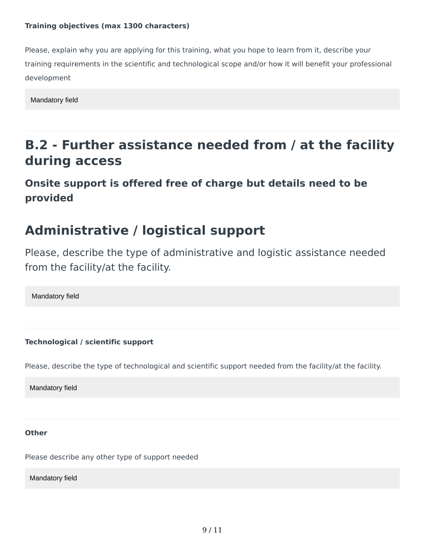#### **Training objectives (max 1300 characters)**

Please, explain why you are applying for this training, what you hope to learn from it, describe your training requirements in the scientific and technological scope and/or how it will benefit your professional development

Mandatory field

# **B.2 - Further assistance needed from / at the facility during access**

**Onsite support is offered free of charge but details need to be provided**

# **Administrative / logistical support**

Please, describe the type of administrative and logistic assistance needed from the facility/at the facility.

Mandatory field

**Technological / scientific support**

Please, describe the type of technological and scientific support needed from the facility/at the facility.

Mandatory field

**Other**

Please describe any other type of support needed

Mandatory field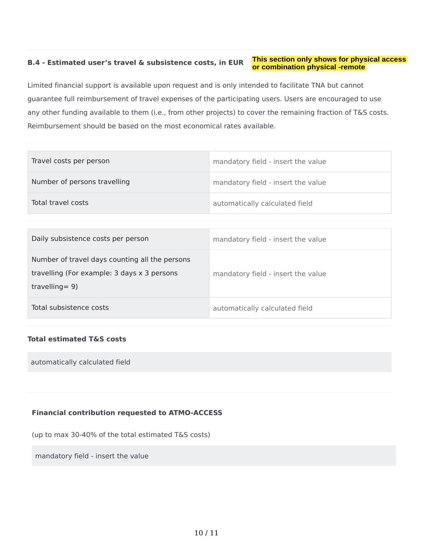#### This section only shows for physical access B.4 - Estimated user's travel & subsistence costs, in EUR or combination physical -remote

Limited financial support is available upon request and is only intended to facilitate TNA but cannot guarantee full reimbursement of travel expenses of the participating users. Users are encouraged to use any other funding available to them (i.e., from other projects) to cover the remaining fraction of T&S costs. Reimbursement should be based on the most economical rates available.

| Travel costs per person      | mandatory field - insert the value |
|------------------------------|------------------------------------|
| Number of persons travelling | mandatory field - insert the value |
| Total travel costs           | automatically calculated field     |

| Daily subsistence costs per person                                                                                  | mandatory field - insert the value |
|---------------------------------------------------------------------------------------------------------------------|------------------------------------|
| Number of travel days counting all the persons<br>travelling (For example: 3 days x 3 persons<br>travelling = $9$ ) | mandatory field - insert the value |
| Total subsistence costs                                                                                             | automatically calculated field     |

#### **Total estimated T&S costs**

automatically calculated field

#### **Financial contribution requested to ATMO-ACCESS**

(up to max 30-40% of the total estimated T&S costs)

mandatory field - insert the value